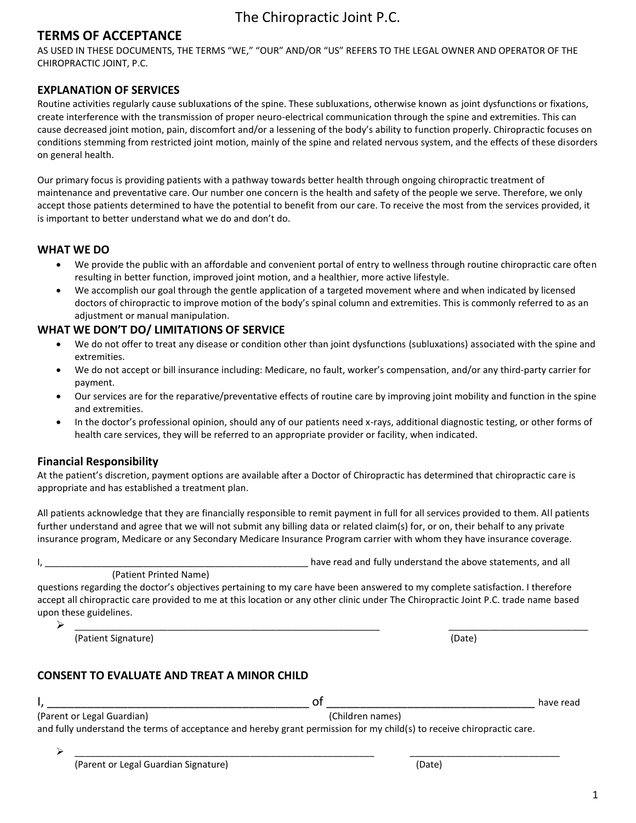### **TERMS OF ACCEPTANCE**

AS USED IN THESE DOCUMENTS, THE TERMS "WE," "OUR" AND/OR "US" REFERS TO THE LEGAL OWNER AND OPERATOR OF THE CHIROPRACTIC JOINT, P.C.

#### **EXPLANATION OF SERVICES**

Routine activities regularly cause subluxations of the spine. These subluxations, otherwise known as joint dysfunctions or fixations, create interference with the transmission of proper neuro-electrical communication through the spine and extremities. This can cause decreased joint motion, pain, discomfort and/or a lessening of the body's ability to function properly. Chiropractic focuses on conditions stemming from restricted joint motion, mainly of the spine and related nervous system, and the effects of these disorders on general health.

Our primary focus is providing patients with a pathway towards better health through ongoing chiropractic treatment of maintenance and preventative care. Our number one concern is the health and safety of the people we serve. Therefore, we only accept those patients determined to have the potential to benefit from our care. To receive the most from the services provided, it is important to better understand what we do and don't do.

#### **WHAT WE DO**

- We provide the public with an affordable and convenient portal of entry to wellness through routine chiropractic care often resulting in better function, improved joint motion, and a healthier, more active lifestyle.
- We accomplish our goal through the gentle application of a targeted movement where and when indicated by licensed doctors of chiropractic to improve motion of the body's spinal column and extremities. This is commonly referred to as an adjustment or manual manipulation.

### **WHAT WE DON'T DO/ LIMITATIONS OF SERVICE**

- We do not offer to treat any disease or condition other than joint dysfunctions (subluxations) associated with the spine and extremities.
- We do not accept or bill insurance including: Medicare, no fault, worker's compensation, and/or any third-party carrier for payment.
- Our services are for the reparative/preventative effects of routine care by improving joint mobility and function in the spine and extremities.
- In the doctor's professional opinion, should any of our patients need x-rays, additional diagnostic testing, or other forms of health care services, they will be referred to an appropriate provider or facility, when indicated.

### **Financial Responsibility**

At the patient's discretion, payment options are available after a Doctor of Chiropractic has determined that chiropractic care is appropriate and has established a treatment plan.

All patients acknowledge that they are financially responsible to remit payment in full for all services provided to them. All patients further understand and agree that we will not submit any billing data or related claim(s) for, or on, their behalf to any private insurance program, Medicare or any Secondary Medicare Insurance Program carrier with whom they have insurance coverage.

(Patient Printed Name)

questions regarding the doctor's objectives pertaining to my care have been answered to my complete satisfaction. I therefore accept all chiropractic care provided to me at this location or any other clinic under The Chiropractic Joint P.C. trade name based upon these guidelines.

(Patient Signature) (Date)

I, \_\_\_\_\_\_\_\_\_\_\_\_\_\_\_\_\_\_\_\_\_\_\_\_\_\_\_\_\_\_\_\_\_\_\_\_\_\_\_\_\_\_\_\_\_\_\_\_\_\_\_ have read and fully understand the above statements, and all

➢ \_\_\_\_\_\_\_\_\_\_\_\_\_\_\_\_\_\_\_\_\_\_\_\_\_\_\_\_\_\_\_\_\_\_\_\_\_\_\_\_\_\_\_\_\_\_\_\_\_\_\_\_\_\_\_\_\_\_\_ \_\_\_\_\_\_\_\_\_\_\_\_\_\_\_\_\_\_\_\_\_\_\_\_\_\_\_

### **CONSENT TO EVALUATE AND TREAT A MINOR CHILD**

|                            |                  | have. |
|----------------------------|------------------|-------|
| (Parent or Legal Guardian) | (Children names) |       |

and fully understand the terms of acceptance and hereby grant permission for my child(s) to receive chiropractic care.

➢ \_\_\_\_\_\_\_\_\_\_\_\_\_\_\_\_\_\_\_\_\_\_\_\_\_\_\_\_\_\_\_\_\_\_\_\_\_\_\_\_\_\_\_\_\_\_\_\_\_\_\_\_\_\_\_\_\_\_ \_\_\_\_\_\_\_\_\_\_\_\_\_\_\_\_\_\_\_\_\_\_\_\_\_\_\_\_\_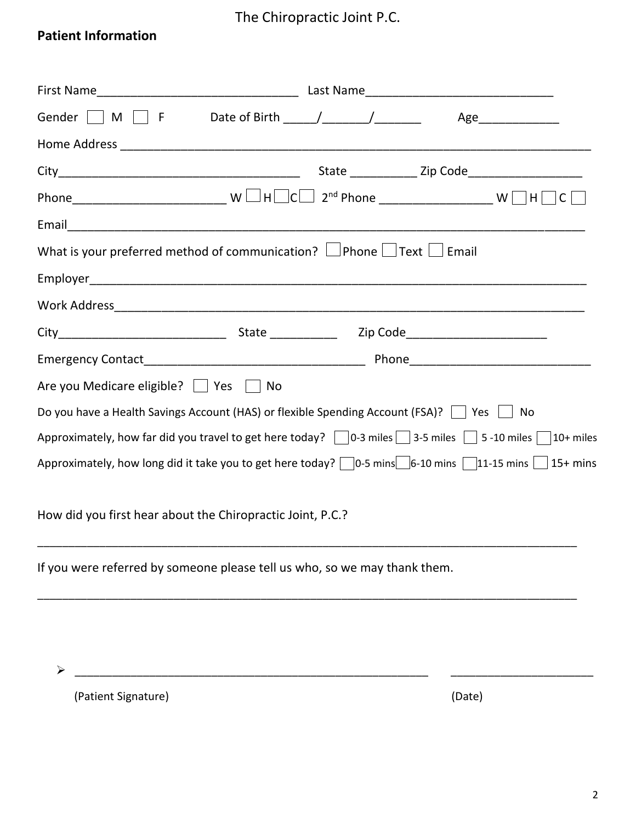### **Patient Information**

|                                                                                                                               |  | Age_______________                                       |
|-------------------------------------------------------------------------------------------------------------------------------|--|----------------------------------------------------------|
|                                                                                                                               |  |                                                          |
|                                                                                                                               |  | State ________________ Zip Code_________________________ |
|                                                                                                                               |  |                                                          |
|                                                                                                                               |  |                                                          |
| What is your preferred method of communication? $\Box$ Phone $\Box$ Text $\Box$ Email                                         |  |                                                          |
|                                                                                                                               |  |                                                          |
|                                                                                                                               |  |                                                          |
|                                                                                                                               |  |                                                          |
|                                                                                                                               |  |                                                          |
| Are you Medicare eligible?     Yes     No                                                                                     |  |                                                          |
| Do you have a Health Savings Account (HAS) or flexible Spending Account (FSA)?     Yes     No                                 |  |                                                          |
| Approximately, how far did you travel to get here today? $\Box$ 0-3 miles $\Box$ 3-5 miles $\Box$ 5-10 miles $\Box$ 10+ miles |  |                                                          |
| Approximately, how long did it take you to get here today? $\Box$ 0-5 mins $\Box$ 6-10 mins $\Box$ 11-15 mins $\Box$ 15+ mins |  |                                                          |
| How did you first hear about the Chiropractic Joint, P.C.?                                                                    |  |                                                          |
| If you were referred by someone please tell us who, so we may thank them.                                                     |  |                                                          |
|                                                                                                                               |  |                                                          |
|                                                                                                                               |  |                                                          |

➢ \_\_\_\_\_\_\_\_\_\_\_\_\_\_\_\_\_\_\_\_\_\_\_\_\_\_\_\_\_\_\_\_\_\_\_\_\_\_\_\_\_\_\_\_\_\_\_\_\_\_\_\_\_\_\_\_\_ \_\_\_\_\_\_\_\_\_\_\_\_\_\_\_\_\_\_\_\_\_\_\_

(Patient Signature) (Date)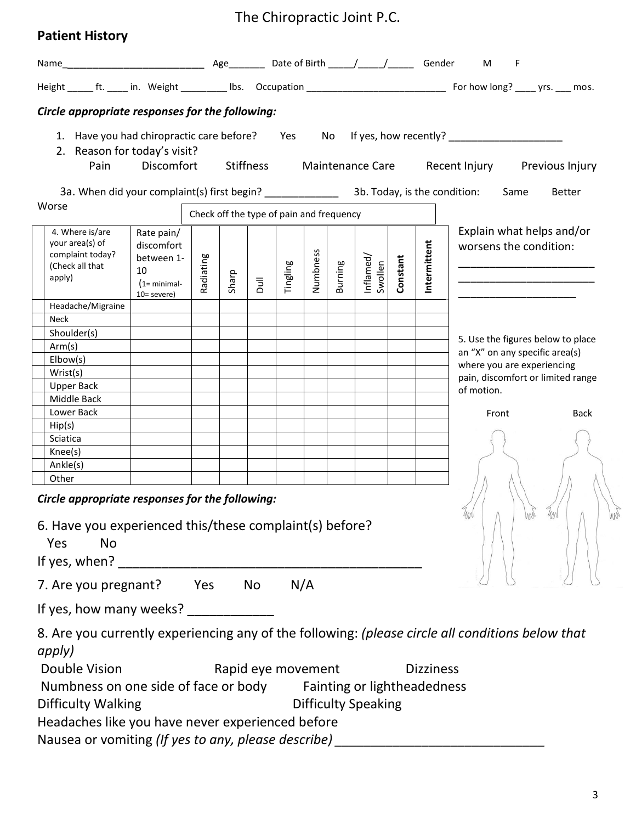|  | <b>Patient History</b> |
|--|------------------------|
|--|------------------------|

|                                                                                                                     |                                                                                    |                                          |       |                |                    |          |         |                            |          |                  | F                                                                                                    |
|---------------------------------------------------------------------------------------------------------------------|------------------------------------------------------------------------------------|------------------------------------------|-------|----------------|--------------------|----------|---------|----------------------------|----------|------------------|------------------------------------------------------------------------------------------------------|
|                                                                                                                     |                                                                                    |                                          |       |                |                    |          |         |                            |          |                  |                                                                                                      |
| Circle appropriate responses for the following:                                                                     |                                                                                    |                                          |       |                |                    |          |         |                            |          |                  |                                                                                                      |
| 2. Reason for today's visit?                                                                                        |                                                                                    |                                          |       |                |                    |          |         |                            |          |                  | 1. Have you had chiropractic care before? Yes No If yes, how recently? _____________________________ |
| Pain                                                                                                                |                                                                                    |                                          |       |                |                    |          |         |                            |          |                  | Discomfort Stiffness Maintenance Care Recent Injury Previous Injury                                  |
| Worse                                                                                                               |                                                                                    |                                          |       |                |                    |          |         |                            |          |                  | Same<br><b>Better</b>                                                                                |
|                                                                                                                     |                                                                                    | Check off the type of pain and frequency |       |                |                    |          |         |                            |          |                  |                                                                                                      |
| 4. Where is/are<br>your area(s) of<br>complaint today?<br>(Check all that<br>apply)                                 | Rate pain/<br>discomfort<br>between 1-<br>10<br>$(1 = minimal -$<br>$10 =$ severe) | Radiating                                | Sharp | $\overline{a}$ | Tingling           | Numbness | Burning | Inflamed/<br>Swollen       | Constant | Intermittent     | Explain what helps and/or<br>worsens the condition:                                                  |
| Headache/Migraine                                                                                                   |                                                                                    |                                          |       |                |                    |          |         |                            |          |                  |                                                                                                      |
| Neck                                                                                                                |                                                                                    |                                          |       |                |                    |          |         |                            |          |                  |                                                                                                      |
| Shoulder(s)                                                                                                         |                                                                                    |                                          |       |                |                    |          |         |                            |          |                  | 5. Use the figures below to place                                                                    |
| Arm(s)                                                                                                              |                                                                                    |                                          |       |                |                    |          |         |                            |          |                  | an "X" on any specific area(s)                                                                       |
| Elbow(s)                                                                                                            |                                                                                    |                                          |       |                |                    |          |         |                            |          |                  | where you are experiencing                                                                           |
| Wrist(s)                                                                                                            |                                                                                    |                                          |       |                |                    |          |         |                            |          |                  | pain, discomfort or limited range                                                                    |
| Upper Back                                                                                                          |                                                                                    |                                          |       |                |                    |          |         |                            |          |                  | of motion.                                                                                           |
| <b>Middle Back</b>                                                                                                  |                                                                                    |                                          |       |                |                    |          |         |                            |          |                  |                                                                                                      |
| Lower Back                                                                                                          |                                                                                    |                                          |       |                |                    |          |         |                            |          |                  | Front<br><b>Back</b>                                                                                 |
| Hip(s)                                                                                                              |                                                                                    |                                          |       |                |                    |          |         |                            |          |                  |                                                                                                      |
| Sciatica                                                                                                            |                                                                                    |                                          |       |                |                    |          |         |                            |          |                  |                                                                                                      |
| Knee(s)                                                                                                             |                                                                                    |                                          |       |                |                    |          |         |                            |          |                  |                                                                                                      |
| Ankle(s)                                                                                                            |                                                                                    |                                          |       |                |                    |          |         |                            |          |                  |                                                                                                      |
| Other<br>Circle appropriate responses for the following:<br>6. Have you experienced this/these complaint(s) before? |                                                                                    |                                          |       |                |                    |          |         |                            |          |                  |                                                                                                      |
|                                                                                                                     |                                                                                    |                                          |       |                |                    |          |         |                            |          |                  |                                                                                                      |
| Yes<br><b>No</b>                                                                                                    |                                                                                    |                                          |       |                |                    |          |         |                            |          |                  |                                                                                                      |
| If yes, when? _                                                                                                     |                                                                                    |                                          |       |                |                    |          |         |                            |          |                  |                                                                                                      |
| 7. Are you pregnant? Yes No N/A                                                                                     |                                                                                    |                                          |       |                |                    |          |         |                            |          |                  |                                                                                                      |
|                                                                                                                     |                                                                                    |                                          |       |                |                    |          |         |                            |          |                  |                                                                                                      |
| apply)<br>Double Vision<br>Numbness on one side of face or body Fainting or lightheadedness<br>Difficulty Walking   |                                                                                    |                                          |       |                | Rapid eye movement |          |         | <b>Difficulty Speaking</b> |          | <b>Dizziness</b> | 8. Are you currently experiencing any of the following: (please circle all conditions below that     |
| Headaches like you have never experienced before                                                                    |                                                                                    |                                          |       |                |                    |          |         |                            |          |                  |                                                                                                      |

Headaches like you have never experienced before<br>Nausea or vomiting *(If yes to any, please describe)*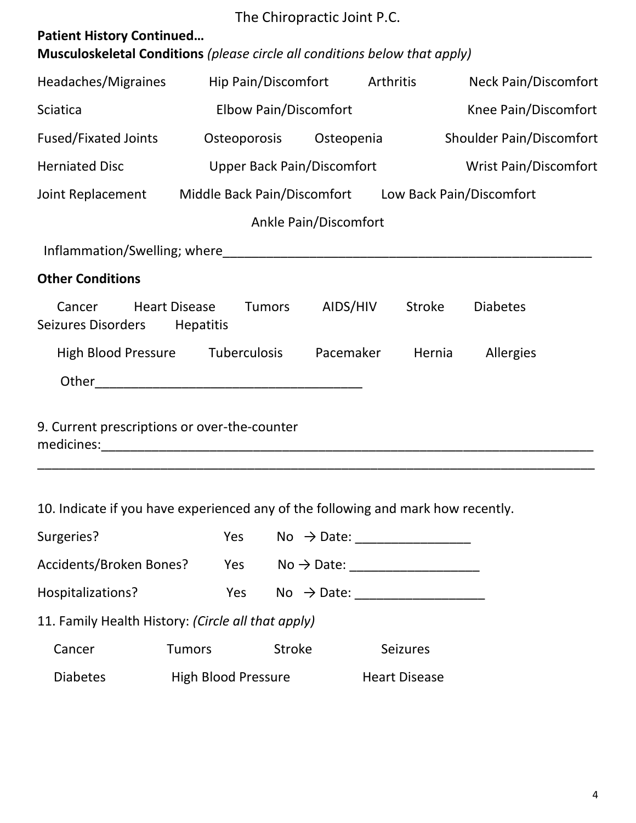|                                                                                                                |                                   | The Chiropractic Joint P.C.                                   |        |                             |  |  |
|----------------------------------------------------------------------------------------------------------------|-----------------------------------|---------------------------------------------------------------|--------|-----------------------------|--|--|
| <b>Patient History Continued</b><br>Musculoskeletal Conditions (please circle all conditions below that apply) |                                   |                                                               |        |                             |  |  |
| Headaches/Migraines                                                                                            | Hip Pain/Discomfort Arthritis     |                                                               |        | <b>Neck Pain/Discomfort</b> |  |  |
| <b>Sciatica</b>                                                                                                | <b>Elbow Pain/Discomfort</b>      |                                                               |        | Knee Pain/Discomfort        |  |  |
| <b>Fused/Fixated Joints</b>                                                                                    |                                   | <b>Shoulder Pain/Discomfort</b><br>Osteoporosis<br>Osteopenia |        |                             |  |  |
| <b>Herniated Disc</b>                                                                                          | <b>Upper Back Pain/Discomfort</b> |                                                               |        | Wrist Pain/Discomfort       |  |  |
| Joint Replacement Middle Back Pain/Discomfort Low Back Pain/Discomfort                                         |                                   |                                                               |        |                             |  |  |
|                                                                                                                |                                   | Ankle Pain/Discomfort                                         |        |                             |  |  |
|                                                                                                                |                                   |                                                               |        |                             |  |  |
| <b>Other Conditions</b>                                                                                        |                                   |                                                               |        |                             |  |  |
| <b>Heart Disease</b><br>Cancer<br>Seizures Disorders                                                           | <b>Tumors</b><br><b>Hepatitis</b> | AIDS/HIV                                                      | Stroke | <b>Diabetes</b>             |  |  |
| High Blood Pressure Tuberculosis                                                                               |                                   | Pacemaker                                                     | Hernia | Allergies                   |  |  |
|                                                                                                                |                                   |                                                               |        |                             |  |  |
| 9. Current prescriptions or over-the-counter                                                                   |                                   |                                                               |        |                             |  |  |

10. Indicate if you have experienced any of the following and mark how recently.

| Surgeries?                                         | Yes                        | No $\rightarrow$ Date: |                      |
|----------------------------------------------------|----------------------------|------------------------|----------------------|
| Accidents/Broken Bones?                            | Yes                        | $No \rightarrow Date:$ |                      |
| Hospitalizations?                                  | <b>Yes</b>                 | No $\rightarrow$ Date: |                      |
| 11. Family Health History: (Circle all that apply) |                            |                        |                      |
| Cancer                                             | <b>Tumors</b>              | <b>Stroke</b>          | <b>Seizures</b>      |
| <b>Diabetes</b>                                    | <b>High Blood Pressure</b> |                        | <b>Heart Disease</b> |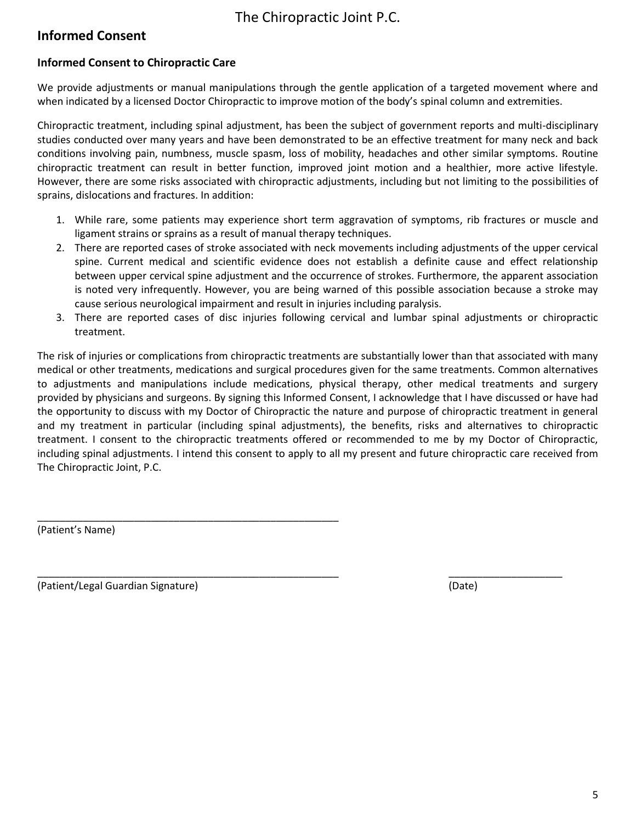### **Informed Consent**

### **Informed Consent to Chiropractic Care**

We provide adjustments or manual manipulations through the gentle application of a targeted movement where and when indicated by a licensed Doctor Chiropractic to improve motion of the body's spinal column and extremities.

Chiropractic treatment, including spinal adjustment, has been the subject of government reports and multi-disciplinary studies conducted over many years and have been demonstrated to be an effective treatment for many neck and back conditions involving pain, numbness, muscle spasm, loss of mobility, headaches and other similar symptoms. Routine chiropractic treatment can result in better function, improved joint motion and a healthier, more active lifestyle. However, there are some risks associated with chiropractic adjustments, including but not limiting to the possibilities of sprains, dislocations and fractures. In addition:

- 1. While rare, some patients may experience short term aggravation of symptoms, rib fractures or muscle and ligament strains or sprains as a result of manual therapy techniques.
- 2. There are reported cases of stroke associated with neck movements including adjustments of the upper cervical spine. Current medical and scientific evidence does not establish a definite cause and effect relationship between upper cervical spine adjustment and the occurrence of strokes. Furthermore, the apparent association is noted very infrequently. However, you are being warned of this possible association because a stroke may cause serious neurological impairment and result in injuries including paralysis.
- 3. There are reported cases of disc injuries following cervical and lumbar spinal adjustments or chiropractic treatment.

The risk of injuries or complications from chiropractic treatments are substantially lower than that associated with many medical or other treatments, medications and surgical procedures given for the same treatments. Common alternatives to adjustments and manipulations include medications, physical therapy, other medical treatments and surgery provided by physicians and surgeons. By signing this Informed Consent, I acknowledge that I have discussed or have had the opportunity to discuss with my Doctor of Chiropractic the nature and purpose of chiropractic treatment in general and my treatment in particular (including spinal adjustments), the benefits, risks and alternatives to chiropractic treatment. I consent to the chiropractic treatments offered or recommended to me by my Doctor of Chiropractic, including spinal adjustments. I intend this consent to apply to all my present and future chiropractic care received from The Chiropractic Joint, P.C.

\_\_\_\_\_\_\_\_\_\_\_\_\_\_\_\_\_\_\_\_\_\_\_\_\_\_\_\_\_\_\_\_\_\_\_\_\_\_\_\_\_\_\_\_\_\_\_\_\_\_\_\_\_ \_\_\_\_\_\_\_\_\_\_\_\_\_\_\_\_\_\_\_\_

(Patient's Name)

(Patient/Legal Guardian Signature) (Date)

\_\_\_\_\_\_\_\_\_\_\_\_\_\_\_\_\_\_\_\_\_\_\_\_\_\_\_\_\_\_\_\_\_\_\_\_\_\_\_\_\_\_\_\_\_\_\_\_\_\_\_\_\_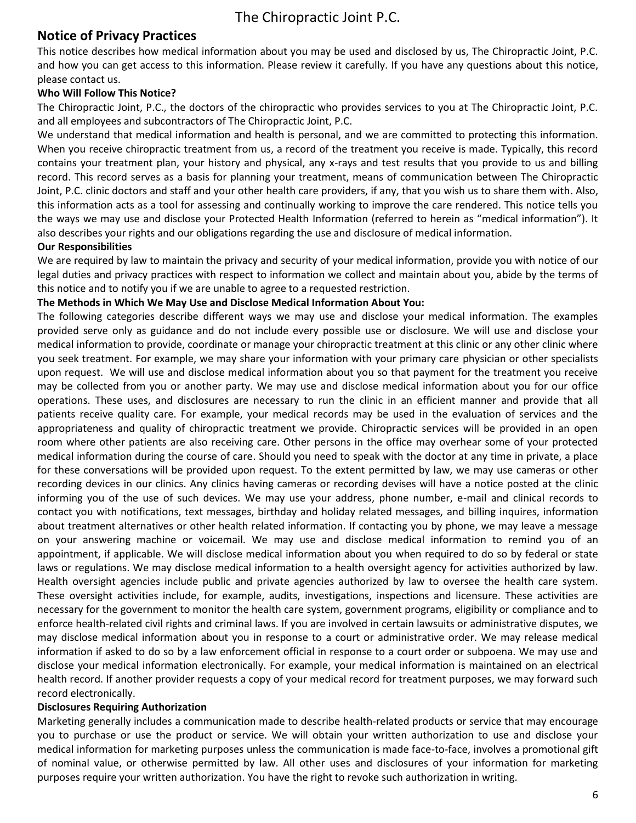### **Notice of Privacy Practices**

This notice describes how medical information about you may be used and disclosed by us, The Chiropractic Joint, P.C. and how you can get access to this information. Please review it carefully. If you have any questions about this notice, please contact us.

### **Who Will Follow This Notice?**

The Chiropractic Joint, P.C., the doctors of the chiropractic who provides services to you at The Chiropractic Joint, P.C. and all employees and subcontractors of The Chiropractic Joint, P.C.

We understand that medical information and health is personal, and we are committed to protecting this information. When you receive chiropractic treatment from us, a record of the treatment you receive is made. Typically, this record contains your treatment plan, your history and physical, any x-rays and test results that you provide to us and billing record. This record serves as a basis for planning your treatment, means of communication between The Chiropractic Joint, P.C. clinic doctors and staff and your other health care providers, if any, that you wish us to share them with. Also, this information acts as a tool for assessing and continually working to improve the care rendered. This notice tells you the ways we may use and disclose your Protected Health Information (referred to herein as "medical information"). It also describes your rights and our obligations regarding the use and disclosure of medical information.

### **Our Responsibilities**

We are required by law to maintain the privacy and security of your medical information, provide you with notice of our legal duties and privacy practices with respect to information we collect and maintain about you, abide by the terms of this notice and to notify you if we are unable to agree to a requested restriction.

#### **The Methods in Which We May Use and Disclose Medical Information About You:**

The following categories describe different ways we may use and disclose your medical information. The examples provided serve only as guidance and do not include every possible use or disclosure. We will use and disclose your medical information to provide, coordinate or manage your chiropractic treatment at this clinic or any other clinic where you seek treatment. For example, we may share your information with your primary care physician or other specialists upon request. We will use and disclose medical information about you so that payment for the treatment you receive may be collected from you or another party. We may use and disclose medical information about you for our office operations. These uses, and disclosures are necessary to run the clinic in an efficient manner and provide that all patients receive quality care. For example, your medical records may be used in the evaluation of services and the appropriateness and quality of chiropractic treatment we provide. Chiropractic services will be provided in an open room where other patients are also receiving care. Other persons in the office may overhear some of your protected medical information during the course of care. Should you need to speak with the doctor at any time in private, a place for these conversations will be provided upon request. To the extent permitted by law, we may use cameras or other recording devices in our clinics. Any clinics having cameras or recording devises will have a notice posted at the clinic informing you of the use of such devices. We may use your address, phone number, e-mail and clinical records to contact you with notifications, text messages, birthday and holiday related messages, and billing inquires, information about treatment alternatives or other health related information. If contacting you by phone, we may leave a message on your answering machine or voicemail. We may use and disclose medical information to remind you of an appointment, if applicable. We will disclose medical information about you when required to do so by federal or state laws or regulations. We may disclose medical information to a health oversight agency for activities authorized by law. Health oversight agencies include public and private agencies authorized by law to oversee the health care system. These oversight activities include, for example, audits, investigations, inspections and licensure. These activities are necessary for the government to monitor the health care system, government programs, eligibility or compliance and to enforce health-related civil rights and criminal laws. If you are involved in certain lawsuits or administrative disputes, we may disclose medical information about you in response to a court or administrative order. We may release medical information if asked to do so by a law enforcement official in response to a court order or subpoena. We may use and disclose your medical information electronically. For example, your medical information is maintained on an electrical health record. If another provider requests a copy of your medical record for treatment purposes, we may forward such record electronically.

#### **Disclosures Requiring Authorization**

Marketing generally includes a communication made to describe health-related products or service that may encourage you to purchase or use the product or service. We will obtain your written authorization to use and disclose your medical information for marketing purposes unless the communication is made face-to-face, involves a promotional gift of nominal value, or otherwise permitted by law. All other uses and disclosures of your information for marketing purposes require your written authorization. You have the right to revoke such authorization in writing.